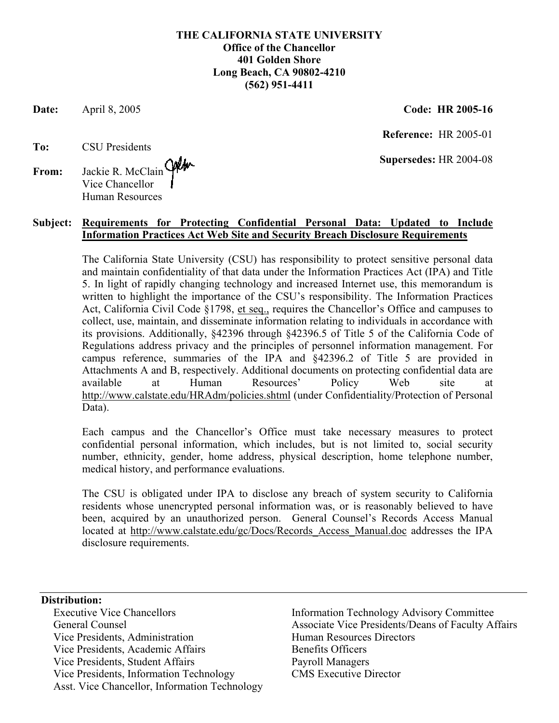## **THE CALIFORNIA STATE UNIVERSITY Office of the Chancellor 401 Golden Shore Long Beach, CA 90802-4210 (562) 951-4411**

**Date:** April 8, 2005 **Code: HR 2005-16** 

 **Reference:** HR 2005-01

 **Supersedes:** HR 2004-08

## **To:** CSU Presidents

**From:** Jackie R. McClain Vice Chancellor Human Resources

## **Subject: Requirements for Protecting Confidential Personal Data: Updated to Include Information Practices Act Web Site and Security Breach Disclosure Requirements**

The California State University (CSU) has responsibility to protect sensitive personal data and maintain confidentiality of that data under the Information Practices Act (IPA) and Title 5. In light of rapidly changing technology and increased Internet use, this memorandum is written to highlight the importance of the CSU's responsibility. The Information Practices Act, California Civil Code §1798, et seq., requires the Chancellor's Office and campuses to collect, use, maintain, and disseminate information relating to individuals in accordance with its provisions. Additionally, §42396 through §42396.5 of Title 5 of the California Code of Regulations address privacy and the principles of personnel information management. For campus reference, summaries of the IPA and §42396.2 of Title 5 are provided in Attachments A and B, respectively. Additional documents on protecting confidential data are available at Human Resources' Policy Web site at <http://www.calstate.edu/HRAdm/policies.shtml>(under Confidentiality/Protection of Personal Data).

Each campus and the Chancellor's Office must take necessary measures to protect confidential personal information, which includes, but is not limited to, social security number, ethnicity, gender, home address, physical description, home telephone number, medical history, and performance evaluations.

The CSU is obligated under IPA to disclose any breach of system security to California residents whose unencrypted personal information was, or is reasonably believed to have been, acquired by an unauthorized person. General Counsel's Records Access Manual located at http://www.calstate.edu/gc/Docs/Records Access Manual.doc addresses the IPA disclosure requirements.

## **Distribution:**

Vice Presidents, Administration Fundally Resources Directors Vice Presidents, Academic Affairs Benefits Officers Vice Presidents, Student Affairs Payroll Managers Vice Presidents, Information Technology CMS Executive Director Asst. Vice Chancellor, Information Technology

Executive Vice Chancellors **Information Technology Advisory Committee** General Counsel **Associate Vice Presidents/Deans of Faculty Affairs** Associate Vice Presidents/Deans of Faculty Affairs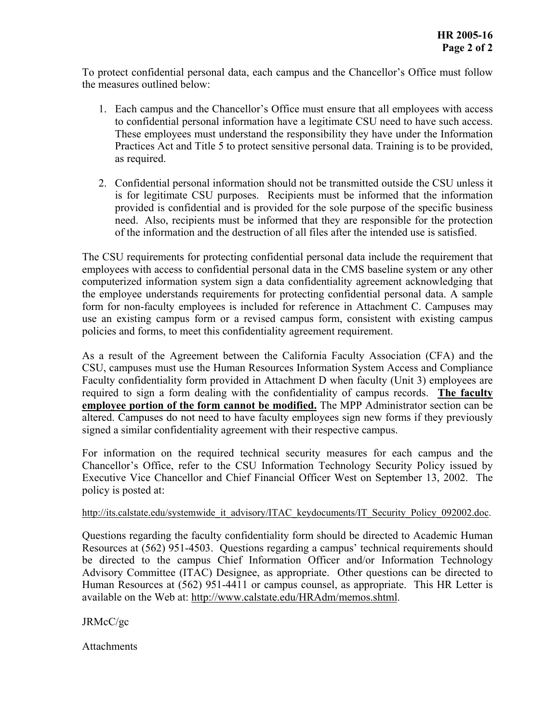To protect confidential personal data, each campus and the Chancellor's Office must follow the measures outlined below:

- 1. Each campus and the Chancellor's Office must ensure that all employees with access to confidential personal information have a legitimate CSU need to have such access. These employees must understand the responsibility they have under the Information Practices Act and Title 5 to protect sensitive personal data. Training is to be provided, as required.
- 2. Confidential personal information should not be transmitted outside the CSU unless it is for legitimate CSU purposes. Recipients must be informed that the information provided is confidential and is provided for the sole purpose of the specific business need. Also, recipients must be informed that they are responsible for the protection of the information and the destruction of all files after the intended use is satisfied.

The CSU requirements for protecting confidential personal data include the requirement that employees with access to confidential personal data in the CMS baseline system or any other computerized information system sign a data confidentiality agreement acknowledging that the employee understands requirements for protecting confidential personal data. A sample form for non-faculty employees is included for reference in Attachment C. Campuses may use an existing campus form or a revised campus form, consistent with existing campus policies and forms, to meet this confidentiality agreement requirement.

As a result of the Agreement between the California Faculty Association (CFA) and the CSU, campuses must use the Human Resources Information System Access and Compliance Faculty confidentiality form provided in Attachment D when faculty (Unit 3) employees are required to sign a form dealing with the confidentiality of campus records. **The faculty employee portion of the form cannot be modified.** The MPP Administrator section can be altered. Campuses do not need to have faculty employees sign new forms if they previously signed a similar confidentiality agreement with their respective campus.

For information on the required technical security measures for each campus and the Chancellor's Office, refer to the CSU Information Technology Security Policy issued by Executive Vice Chancellor and Chief Financial Officer West on September 13, 2002. The policy is posted at:

## [http://its.calstate.edu/systemwide\\_it\\_advisory/ITAC\\_keydocuments/IT\\_Security\\_Policy\\_092002.doc.](http://its.calstate.edu/systemwide_it_advisory/ITAC_keydocuments/IT_Security_Policy_092002.doc)

Questions regarding the faculty confidentiality form should be directed to Academic Human Resources at (562) 951-4503. Questions regarding a campus' technical requirements should be directed to the campus Chief Information Officer and/or Information Technology Advisory Committee (ITAC) Designee, as appropriate. Other questions can be directed to Human Resources at (562) 951-4411 or campus counsel, as appropriate. This HR Letter is available on the Web at: <http://www.calstate.edu/HRAdm/memos.shtml>.

JRMcC/gc

Attachments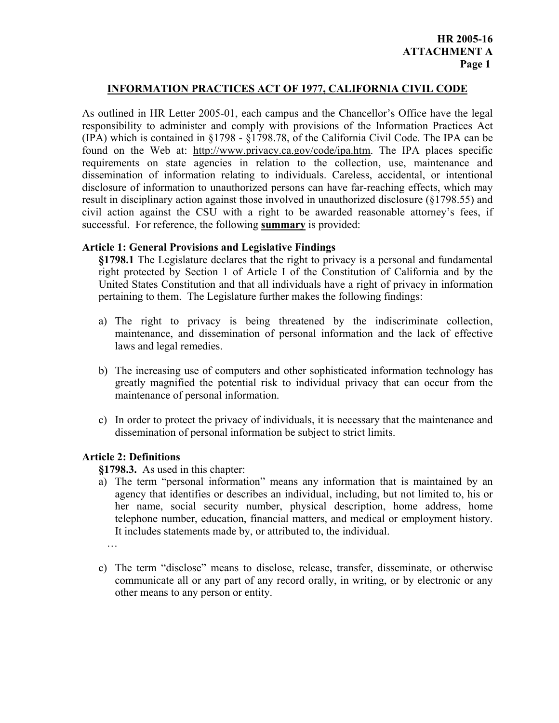## **INFORMATION PRACTICES ACT OF 1977, CALIFORNIA CIVIL CODE**

As outlined in HR Letter 2005-01, each campus and the Chancellor's Office have the legal responsibility to administer and comply with provisions of the Information Practices Act (IPA) which is contained in §1798 - §1798.78, of the California Civil Code. The IPA can be found on the Web at: [http://www.privacy.ca.gov/code/ipa.htm.](http://www.privacy.ca.gov/code/ipa.htm) The IPA places specific requirements on state agencies in relation to the collection, use, maintenance and dissemination of information relating to individuals. Careless, accidental, or intentional disclosure of information to unauthorized persons can have far-reaching effects, which may result in disciplinary action against those involved in unauthorized disclosure (§1798.55) and civil action against the CSU with a right to be awarded reasonable attorney's fees, if successful. For reference, the following **summary** is provided:

## **Article 1: General Provisions and Legislative Findings**

**§1798.1** The Legislature declares that the right to privacy is a personal and fundamental right protected by Section 1 of Article I of the Constitution of California and by the United States Constitution and that all individuals have a right of privacy in information pertaining to them. The Legislature further makes the following findings:

- a) The right to privacy is being threatened by the indiscriminate collection, maintenance, and dissemination of personal information and the lack of effective laws and legal remedies.
- b) The increasing use of computers and other sophisticated information technology has greatly magnified the potential risk to individual privacy that can occur from the maintenance of personal information.
- c) In order to protect the privacy of individuals, it is necessary that the maintenance and dissemination of personal information be subject to strict limits.

## **Article 2: Definitions**

**§1798.3.** As used in this chapter:

a) The term "personal information" means any information that is maintained by an agency that identifies or describes an individual, including, but not limited to, his or her name, social security number, physical description, home address, home telephone number, education, financial matters, and medical or employment history. It includes statements made by, or attributed to, the individual.

…

c) The term "disclose" means to disclose, release, transfer, disseminate, or otherwise communicate all or any part of any record orally, in writing, or by electronic or any other means to any person or entity.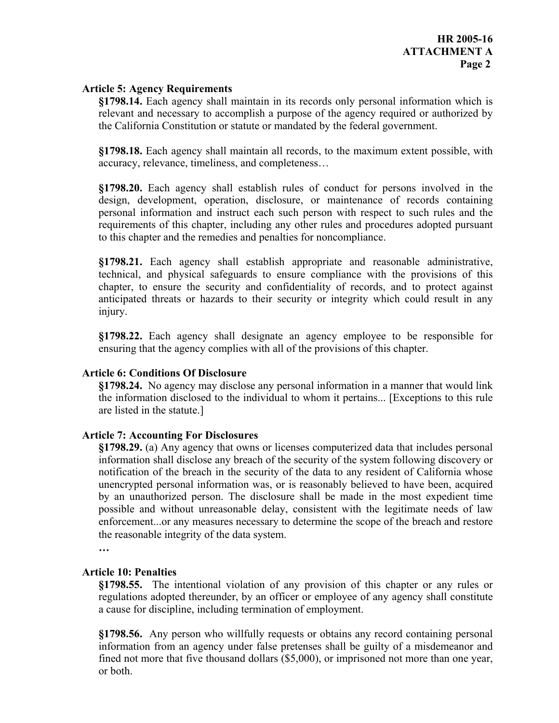#### **Article 5: Agency Requirements**

**§1798.14.** Each agency shall maintain in its records only personal information which is relevant and necessary to accomplish a purpose of the agency required or authorized by the California Constitution or statute or mandated by the federal government.

**§1798.18.** Each agency shall maintain all records, to the maximum extent possible, with accuracy, relevance, timeliness, and completeness…

**§1798.20.** Each agency shall establish rules of conduct for persons involved in the design, development, operation, disclosure, or maintenance of records containing personal information and instruct each such person with respect to such rules and the requirements of this chapter, including any other rules and procedures adopted pursuant to this chapter and the remedies and penalties for noncompliance.

**§1798.21.** Each agency shall establish appropriate and reasonable administrative, technical, and physical safeguards to ensure compliance with the provisions of this chapter, to ensure the security and confidentiality of records, and to protect against anticipated threats or hazards to their security or integrity which could result in any injury.

**§1798.22.** Each agency shall designate an agency employee to be responsible for ensuring that the agency complies with all of the provisions of this chapter.

## **Article 6: Conditions Of Disclosure**

**§1798.24.** No agency may disclose any personal information in a manner that would link the information disclosed to the individual to whom it pertains... [Exceptions to this rule are listed in the statute.]

#### **Article 7: Accounting For Disclosures**

**§1798.29.** (a) Any agency that owns or licenses computerized data that includes personal information shall disclose any breach of the security of the system following discovery or notification of the breach in the security of the data to any resident of California whose unencrypted personal information was, or is reasonably believed to have been, acquired by an unauthorized person. The disclosure shall be made in the most expedient time possible and without unreasonable delay, consistent with the legitimate needs of law enforcement...or any measures necessary to determine the scope of the breach and restore the reasonable integrity of the data system.

**…**

#### **Article 10: Penalties**

**§1798.55.** The intentional violation of any provision of this chapter or any rules or regulations adopted thereunder, by an officer or employee of any agency shall constitute a cause for discipline, including termination of employment.

**§1798.56.** Any person who willfully requests or obtains any record containing personal information from an agency under false pretenses shall be guilty of a misdemeanor and fined not more that five thousand dollars (\$5,000), or imprisoned not more than one year, or both.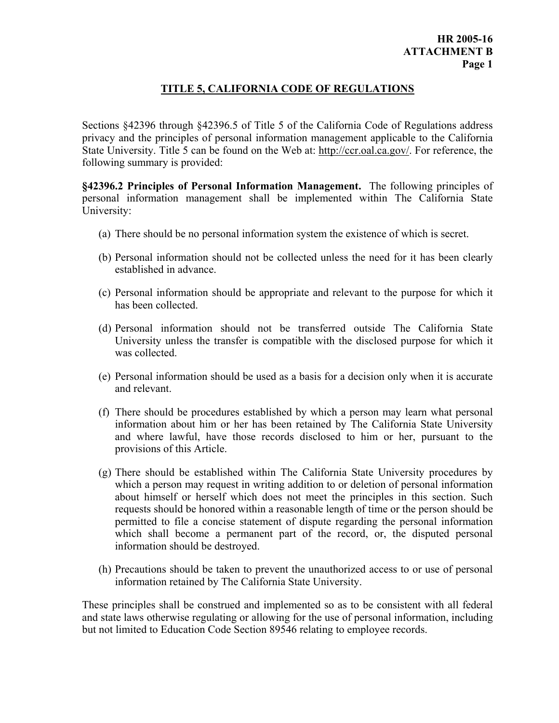## **HR 2005-16 ATTACHMENT B Page 1**

## **TITLE 5, CALIFORNIA CODE OF REGULATIONS**

Sections §42396 through §42396.5 of Title 5 of the California Code of Regulations address privacy and the principles of personal information management applicable to the California State University. Title 5 can be found on the Web at: <http://ccr.oal.ca.gov/>. For reference, the following summary is provided:

**§42396.2 Principles of Personal Information Management.** The following principles of personal information management shall be implemented within The California State University:

- (a) There should be no personal information system the existence of which is secret.
- (b) Personal information should not be collected unless the need for it has been clearly established in advance.
- (c) Personal information should be appropriate and relevant to the purpose for which it has been collected.
- (d) Personal information should not be transferred outside The California State University unless the transfer is compatible with the disclosed purpose for which it was collected.
- (e) Personal information should be used as a basis for a decision only when it is accurate and relevant.
- (f) There should be procedures established by which a person may learn what personal information about him or her has been retained by The California State University and where lawful, have those records disclosed to him or her, pursuant to the provisions of this Article.
- (g) There should be established within The California State University procedures by which a person may request in writing addition to or deletion of personal information about himself or herself which does not meet the principles in this section. Such requests should be honored within a reasonable length of time or the person should be permitted to file a concise statement of dispute regarding the personal information which shall become a permanent part of the record, or, the disputed personal information should be destroyed.
- (h) Precautions should be taken to prevent the unauthorized access to or use of personal information retained by The California State University.

These principles shall be construed and implemented so as to be consistent with all federal and state laws otherwise regulating or allowing for the use of personal information, including but not limited to Education Code Section 89546 relating to employee records.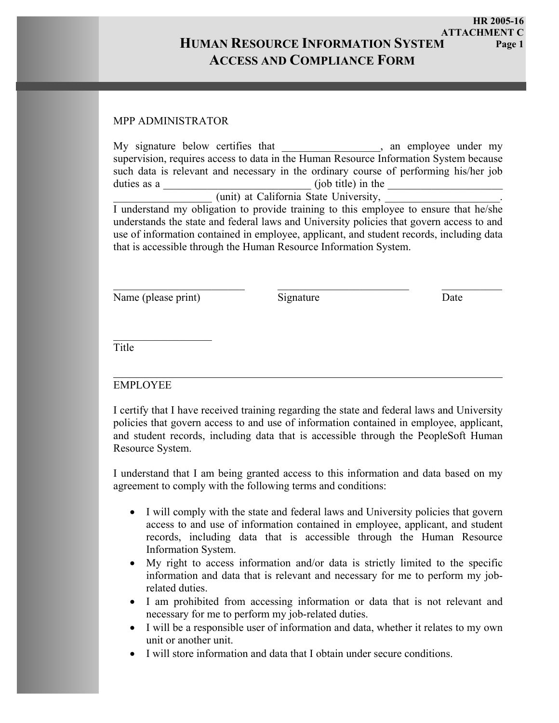**HR 2005-16 ATTACHMENT C Page 1**

# **HUMAN RESOURCE INFORMATION SYSTEM ACCESS AND COMPLIANCE FORM**

## MPP ADMINISTRATOR

| My signature below certifies that                                                                                                                                                                                                                         |                       | , an employee under my |  |  |
|-----------------------------------------------------------------------------------------------------------------------------------------------------------------------------------------------------------------------------------------------------------|-----------------------|------------------------|--|--|
| supervision, requires access to data in the Human Resource Information System because                                                                                                                                                                     |                       |                        |  |  |
| such data is relevant and necessary in the ordinary course of performing his/her job                                                                                                                                                                      |                       |                        |  |  |
| duties as a                                                                                                                                                                                                                                               | $($ job title) in the |                        |  |  |
| (unit) at California State University,                                                                                                                                                                                                                    |                       |                        |  |  |
| I understand my obligation to provide training to this employee to ensure that he/she                                                                                                                                                                     |                       |                        |  |  |
| understands the state and federal laws and University policies that govern access to and<br>use of information contained in employee, applicant, and student records, including data<br>that is accessible through the Human Resource Information System. |                       |                        |  |  |

Name (please print) Signature Date

 $\mathcal{L}_\text{max}$  , we have the set of the set of the set of the set of the set of the set of the set of the set of the set of the set of the set of the set of the set of the set of the set of the set of the set of the set of

 $\_$  , and the state of the state of the state of the state of the state of the state of the state of the state of the state of the state of the state of the state of the state of the state of the state of the state of the

Title

## EMPLOYEE

I certify that I have received training regarding the state and federal laws and University policies that govern access to and use of information contained in employee, applicant, and student records, including data that is accessible through the PeopleSoft Human Resource System.

I understand that I am being granted access to this information and data based on my agreement to comply with the following terms and conditions:

- I will comply with the state and federal laws and University policies that govern access to and use of information contained in employee, applicant, and student records, including data that is accessible through the Human Resource Information System.
- My right to access information and/or data is strictly limited to the specific information and data that is relevant and necessary for me to perform my jobrelated duties.
- I am prohibited from accessing information or data that is not relevant and necessary for me to perform my job-related duties.
- I will be a responsible user of information and data, whether it relates to my own unit or another unit.
- I will store information and data that I obtain under secure conditions.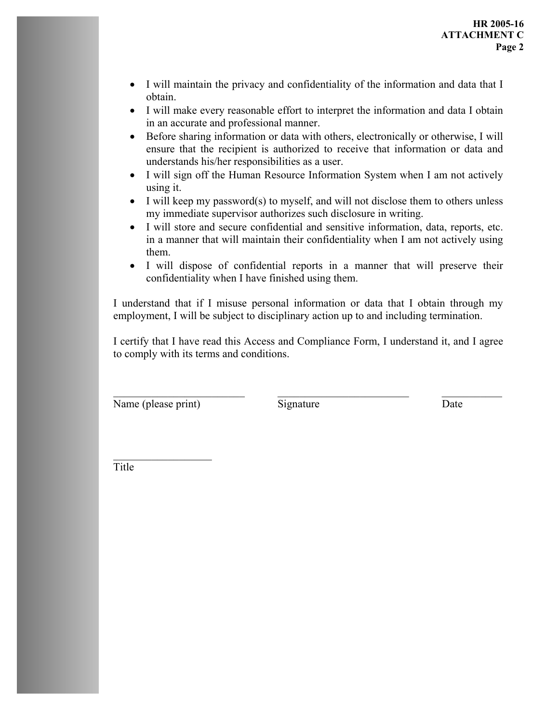- I will maintain the privacy and confidentiality of the information and data that I obtain.
- I will make every reasonable effort to interpret the information and data I obtain in an accurate and professional manner.
- Before sharing information or data with others, electronically or otherwise, I will ensure that the recipient is authorized to receive that information or data and understands his/her responsibilities as a user.
- I will sign off the Human Resource Information System when I am not actively using it.
- I will keep my password(s) to myself, and will not disclose them to others unless my immediate supervisor authorizes such disclosure in writing.
- I will store and secure confidential and sensitive information, data, reports, etc. in a manner that will maintain their confidentiality when I am not actively using them.
- I will dispose of confidential reports in a manner that will preserve their confidentiality when I have finished using them.

I understand that if I misuse personal information or data that I obtain through my employment, I will be subject to disciplinary action up to and including termination.

I certify that I have read this Access and Compliance Form, I understand it, and I agree to comply with its terms and conditions.

Name (please print) Signature Date

 $\mathcal{L}_\text{max}$  , we have the set of the set of the set of the set of the set of the set of the set of the set of the set of the set of the set of the set of the set of the set of the set of the set of the set of the set of

 $\_$  , and the state of the state of the state of the state of the state of the state of the state of the state of the state of the state of the state of the state of the state of the state of the state of the state of the

Title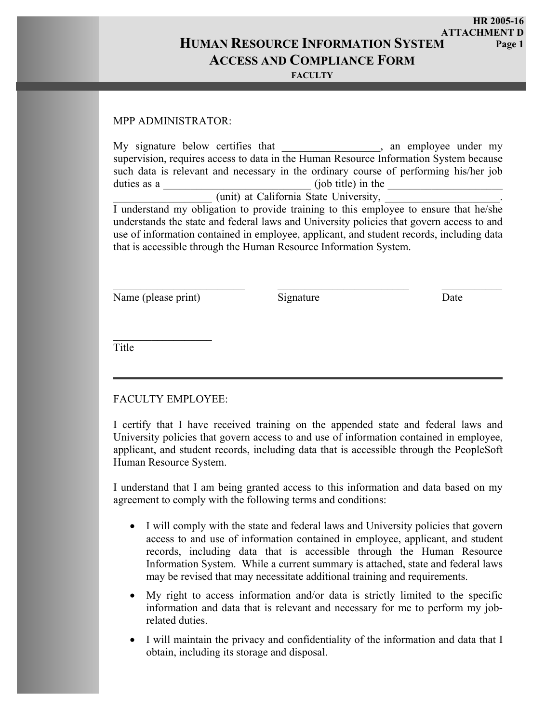**HUMAN RESOURCE INFORMATION SYSTEM ACCESS AND COMPLIANCE FORM HR 2005-16 ATTACHMENT D Page 1**

> **FF FACULTY**

#### MPP ADMINISTRATOR:

| My signature below certifies that                                                        | , an employee under my |  |  |
|------------------------------------------------------------------------------------------|------------------------|--|--|
| supervision, requires access to data in the Human Resource Information System because    |                        |  |  |
| such data is relevant and necessary in the ordinary course of performing his/her job     |                        |  |  |
| duties as a                                                                              | (job title) in the     |  |  |
| (unit) at California State University,                                                   |                        |  |  |
| I understand my obligation to provide training to this employee to ensure that he/she    |                        |  |  |
| understands the state and federal laws and University policies that govern access to and |                        |  |  |
| use of information contained in employee, applicant, and student records, including data |                        |  |  |
| that is accessible through the Human Resource Information System.                        |                        |  |  |

Name (please print) Signature Date

 $\mathcal{L}_\text{max}$  , we have the set of the set of the set of the set of the set of the set of the set of the set of the set of the set of the set of the set of the set of the set of the set of the set of the set of the set of

 $\_$  , and the state of the state of the state of the state of the state of the state of the state of the state of the state of the state of the state of the state of the state of the state of the state of the state of the

Title

## FACULTY EMPLOYEE:

I certify that I have received training on the appended state and federal laws and University policies that govern access to and use of information contained in employee, applicant, and student records, including data that is accessible through the PeopleSoft Human Resource System.

I understand that I am being granted access to this information and data based on my agreement to comply with the following terms and conditions:

- I will comply with the state and federal laws and University policies that govern access to and use of information contained in employee, applicant, and student records, including data that is accessible through the Human Resource Information System. While a current summary is attached, state and federal laws may be revised that may necessitate additional training and requirements.
- My right to access information and/or data is strictly limited to the specific information and data that is relevant and necessary for me to perform my jobrelated duties.
- I will maintain the privacy and confidentiality of the information and data that I obtain, including its storage and disposal.